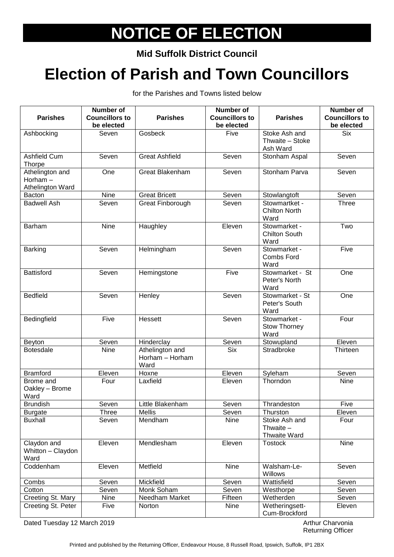## **NOTICE OF ELECTION**

**Mid Suffolk District Council**

## **Election of Parish and Town Councillors**

for the Parishes and Towns listed below

| <b>Parishes</b>                | <b>Number of</b><br><b>Councillors to</b> | <b>Parishes</b>         | Number of<br><b>Councillors to</b> | <b>Parishes</b>                    | <b>Number of</b><br><b>Councillors to</b> |
|--------------------------------|-------------------------------------------|-------------------------|------------------------------------|------------------------------------|-------------------------------------------|
|                                | be elected                                |                         | be elected                         |                                    | be elected                                |
| Ashbocking                     | Seven                                     | Gosbeck                 | Five                               | Stoke Ash and<br>Thwaite - Stoke   | <b>Six</b>                                |
|                                |                                           |                         |                                    | Ash Ward                           |                                           |
| <b>Ashfield Cum</b>            | Seven                                     | <b>Great Ashfield</b>   | Seven                              | Stonham Aspal                      | Seven                                     |
| Thorpe                         |                                           |                         |                                    |                                    |                                           |
| Athelington and                | One                                       | <b>Great Blakenham</b>  | Seven                              | Stonham Parva                      | Seven                                     |
| Horham $-$<br>Athelington Ward |                                           |                         |                                    |                                    |                                           |
| Bacton                         | Nine                                      | <b>Great Bricett</b>    | Seven                              | Stowlangtoft                       | Seven                                     |
| <b>Badwell Ash</b>             | Seven                                     | Great Finborough        | Seven                              | Stowmartket -                      | <b>Three</b>                              |
|                                |                                           |                         |                                    | <b>Chilton North</b><br>Ward       |                                           |
| <b>Barham</b>                  | <b>Nine</b>                               | Haughley                | Eleven                             | Stowmarket -                       | Two                                       |
|                                |                                           |                         |                                    | <b>Chilton South</b><br>Ward       |                                           |
| <b>Barking</b>                 | Seven                                     | Helmingham              | Seven                              | Stowmarket -                       | Five                                      |
|                                |                                           |                         |                                    | <b>Combs Ford</b><br>Ward          |                                           |
| Battisford                     | Seven                                     | Hemingstone             | Five                               | Stowmarket - St                    | One                                       |
|                                |                                           |                         |                                    | Peter's North<br>Ward              |                                           |
| <b>Bedfield</b>                | Seven                                     | Henley                  | Seven                              | Stowmarket - St                    | One                                       |
|                                |                                           |                         |                                    | Peter's South                      |                                           |
|                                |                                           |                         |                                    | Ward                               |                                           |
| Bedingfield                    | Five                                      | Hessett                 | Seven                              | Stowmarket -<br>Stow Thorney       | Four                                      |
|                                |                                           |                         |                                    | Ward                               |                                           |
| Beyton                         | Seven                                     | Hinderclay              | Seven                              | Stowupland                         | Eleven                                    |
| <b>Botesdale</b>               | <b>Nine</b>                               | Athelington and         | <b>Six</b>                         | Stradbroke                         | Thirteen                                  |
|                                |                                           | Horham - Horham<br>Ward |                                    |                                    |                                           |
| <b>Bramford</b>                | Eleven                                    | Hoxne                   | Eleven                             | Syleham                            | Seven                                     |
| Brome and                      | Four                                      | Laxfield                | Eleven                             | Thorndon                           | Nine                                      |
| Oakley - Brome<br>Ward         |                                           |                         |                                    |                                    |                                           |
| <b>Brundish</b>                | Seven                                     | Little Blakenham        | Seven                              | Thrandeston                        | Five                                      |
| <b>Burgate</b>                 | <b>Three</b>                              | <b>Mellis</b>           | Seven                              | Thurston                           | Eleven                                    |
| <b>Buxhall</b>                 | Seven                                     | Mendham                 | Nine                               | Stoke Ash and                      | Four                                      |
|                                |                                           |                         |                                    | Thwaite $-$<br><b>Thwaite Ward</b> |                                           |
| Claydon and                    | Eleven                                    | Mendlesham              | Eleven                             | <b>Tostock</b>                     | Nine                                      |
| Whitton - Claydon              |                                           |                         |                                    |                                    |                                           |
| Ward                           |                                           |                         |                                    |                                    |                                           |
| Coddenham                      | Eleven                                    | Metfield                | Nine                               | Walsham-Le-<br>Willows             | Seven                                     |
| Combs                          | Seven                                     | Mickfield               | Seven                              | Wattisfield                        | Seven                                     |
| Cotton                         | Seven                                     | Monk Soham              | Seven                              | Westhorpe                          | Seven                                     |
| Creeting St. Mary              | Nine                                      | Needham Market          | Fifteen                            | Wetherden                          | Seven                                     |
| Creeting St. Peter             | Five                                      | Norton                  | Nine                               | Wetheringsett-<br>Cum-Brockford    | Eleven                                    |

Dated Tuesday 12 March 2019 **Arthur Charvonia Arthur Charvonia** 

Returning Officer